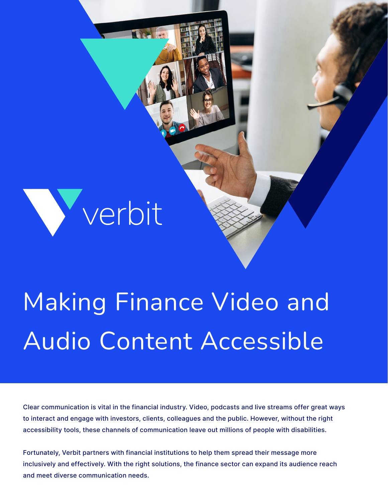# Verbit

# Making Finance Video and Audio Content Accessible

**That las** 

Clear communication is vital in the financial industry. Video, podcasts and live streams offer great ways to interact and engage with investors, clients, colleagues and the public. However, without the right accessibility tools, these channels of communication leave out millions of people with disabilities.

Fortunately, Verbit partners with financial institutions to help them spread their message more inclusively and effectively. With the right solutions, the finance sector can expand its audience reach and meet diverse communication needs.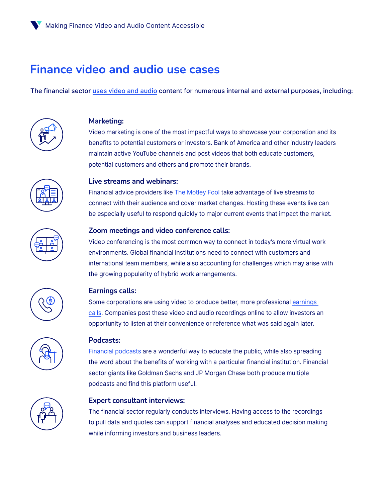## **Finance video and audio use cases**

The financial sector [uses video and audio](https://info.verbit.ai/hubfs/Infographics/Verbit’s_Tailor-Made_Captioning_and_Transcription_for_Financial_Institutions.pdf) content for numerous internal and external purposes, including:



#### **Marketing:**

Video marketing is one of the most impactful ways to showcase your corporation and its benefits to potential customers or investors. Bank of America and other industry leaders maintain active YouTube channels and post videos that both educate customers, potential customers and others and promote their brands.



#### **Live streams and webinars:**

Financial advice providers like [The Motley Fool](https://www.youtube.com/watch?v=tEyhjW6oZoE) take advantage of live streams to connect with their audience and cover market changes. Hosting these events live can be especially useful to respond quickly to major current events that impact the market.



#### **Zoom meetings and video conference calls:**

Video conferencing is the most common way to connect in today's more virtual work environments. Global financial institutions need to connect with customers and international team members, while also accounting for challenges which may arise with the growing popularity of hybrid work arrangements.



#### **Earnings calls:**

Some corporations are using video to produce better, more professional [earnings](https://verbit.ai/tips-for-producing-a-successful-earnings-call/)  [calls.](https://verbit.ai/tips-for-producing-a-successful-earnings-call/) Companies post these video and audio recordings online to allow investors an opportunity to listen at their convenience or reference what was said again later.



#### **Podcasts:**

[Financial podcasts](https://info.verbit.ai/hubfs/Guides/Producing_a_Successful_Finance_Podcast.pdf) are a wonderful way to educate the public, while also spreading the word about the benefits of working with a particular financial institution. Financial sector giants like Goldman Sachs and JP Morgan Chase both produce multiple podcasts and find this platform useful.



#### **Expert consultant interviews:**

The financial sector regularly conducts interviews. Having access to the recordings to pull data and quotes can support financial analyses and educated decision making while informing investors and business leaders.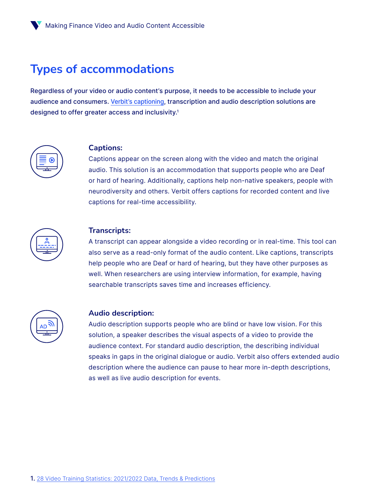### **Types of accommodations**

Regardless of your video or audio content's purpose, it needs to be accessible to include your audience and consumers. [Verbit's captioning,](https://verbit.ai/captioning-and-transcription-for-the-financial-industry/) transcription and audio description solutions are designed to offer greater access and inclusivity.<sup>1</sup>



#### **Captions:**

Captions appear on the screen along with the video and match the original audio. This solution is an accommodation that supports people who are Deaf or hard of hearing. Additionally, captions help non-native speakers, people with neurodiversity and others. Verbit offers captions for recorded content and live captions for real-time accessibility.



#### **Transcripts:**

A transcript can appear alongside a video recording or in real-time. This tool can also serve as a read-only format of the audio content. Like captions, transcripts help people who are Deaf or hard of hearing, but they have other purposes as well. When researchers are using interview information, for example, having searchable transcripts saves time and increases efficiency.



#### **Audio description:**

Audio description supports people who are blind or have low vision. For this solution, a speaker describes the visual aspects of a video to provide the audience context. For standard audio description, the describing individual speaks in gaps in the original dialogue or audio. Verbit also offers extended audio description where the audience can pause to hear more in-depth descriptions, as well as live audio description for events.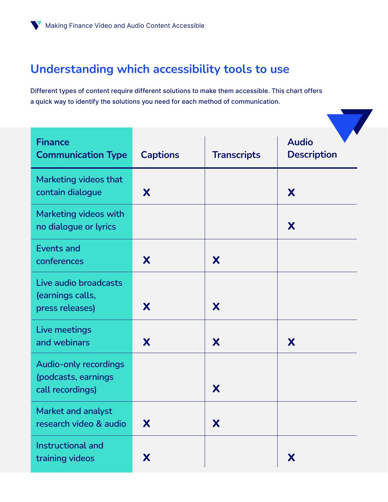# **Understanding which accessibility tools to use**

Different types of content require different solutions to make them accessible. This chart offers a quick way to identify the solutions you need for each method of communication.

| <b>Finance</b><br><b>Communication Type</b>                             | <b>Captions</b> | <b>Transcripts</b> | <b>Audio</b><br><b>Description</b> |
|-------------------------------------------------------------------------|-----------------|--------------------|------------------------------------|
| Marketing videos that<br>contain dialogue                               | X               |                    | X                                  |
| Marketing videos with<br>no dialogue or lyrics                          |                 |                    | X                                  |
| <b>Events and</b><br>conferences                                        | X               | X                  |                                    |
| Live audio broadcasts<br>(earnings calls,<br>press releases)            | X               | X                  |                                    |
| Live meetings<br>and webinars                                           | X               | X                  | X                                  |
| <b>Audio-only recordings</b><br>(podcasts, earnings<br>call recordings) |                 | X                  |                                    |
| Market and analyst<br>research video & audio                            | X               | X                  |                                    |
| Instructional and<br>training videos                                    | X               |                    | X                                  |